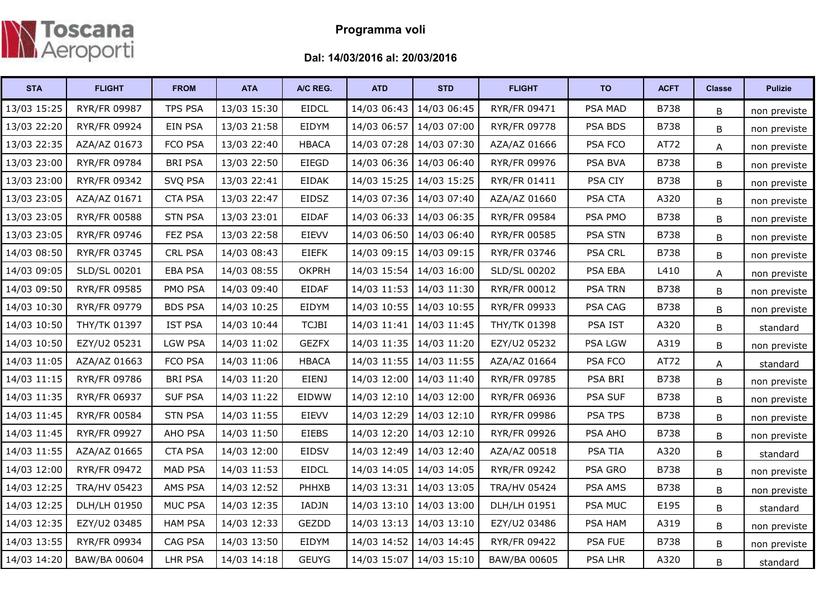

## Programma voli

## Dal: 14/03/2016 al: 20/03/2016

| <b>STA</b>  | <b>FLIGHT</b>       | <b>FROM</b>    | <b>ATA</b>  | A/C REG.     | <b>ATD</b>  | <b>STD</b>              | <b>FLIGHT</b>       | <b>TO</b>      | <b>ACFT</b> | <b>Classe</b> | <b>Pulizie</b> |
|-------------|---------------------|----------------|-------------|--------------|-------------|-------------------------|---------------------|----------------|-------------|---------------|----------------|
| 13/03 15:25 | RYR/FR 09987        | TPS PSA        | 13/03 15:30 | <b>EIDCL</b> | 14/03 06:43 | 14/03 06:45             | RYR/FR 09471        | PSA MAD        | B738        | B             | non previste   |
| 13/03 22:20 | <b>RYR/FR 09924</b> | EIN PSA        | 13/03 21:58 | EIDYM        | 14/03 06:57 | 14/03 07:00             | <b>RYR/FR 09778</b> | PSA BDS        | <b>B738</b> | B             | non previste   |
| 13/03 22:35 | AZA/AZ 01673        | FCO PSA        | 13/03 22:40 | <b>HBACA</b> | 14/03 07:28 | 14/03 07:30             | AZA/AZ 01666        | PSA FCO        | AT72        | Α             | non previste   |
| 13/03 23:00 | RYR/FR 09784        | <b>BRI PSA</b> | 13/03 22:50 | EIEGD        |             | 14/03 06:36 14/03 06:40 | RYR/FR 09976        | <b>PSA BVA</b> | <b>B738</b> | В             | non previste   |
| 13/03 23:00 | RYR/FR 09342        | SVQ PSA        | 13/03 22:41 | <b>EIDAK</b> | 14/03 15:25 | 14/03 15:25             | <b>RYR/FR 01411</b> | PSA CIY        | B738        | B             | non previste   |
| 13/03 23:05 | AZA/AZ 01671        | <b>CTA PSA</b> | 13/03 22:47 | EIDSZ        | 14/03 07:36 | 14/03 07:40             | AZA/AZ 01660        | PSA CTA        | A320        | B             | non previste   |
| 13/03 23:05 | RYR/FR 00588        | <b>STN PSA</b> | 13/03 23:01 | <b>EIDAF</b> | 14/03 06:33 | 14/03 06:35             | RYR/FR 09584        | PSA PMO        | B738        | B             | non previste   |
| 13/03 23:05 | RYR/FR 09746        | FEZ PSA        | 13/03 22:58 | EIEVV        | 14/03 06:50 | 14/03 06:40             | RYR/FR 00585        | <b>PSA STN</b> | <b>B738</b> | B             | non previste   |
| 14/03 08:50 | RYR/FR 03745        | CRL PSA        | 14/03 08:43 | <b>EIEFK</b> | 14/03 09:15 | 14/03 09:15             | RYR/FR 03746        | <b>PSA CRL</b> | B738        | B             | non previste   |
| 14/03 09:05 | SLD/SL 00201        | <b>EBA PSA</b> | 14/03 08:55 | <b>OKPRH</b> | 14/03 15:54 | 14/03 16:00             | SLD/SL 00202        | PSA EBA        | L410        | А             | non previste   |
| 14/03 09:50 | RYR/FR 09585        | PMO PSA        | 14/03 09:40 | <b>EIDAF</b> | 14/03 11:53 | 14/03 11:30             | <b>RYR/FR 00012</b> | <b>PSA TRN</b> | <b>B738</b> | B             | non previste   |
| 14/03 10:30 | RYR/FR 09779        | <b>BDS PSA</b> | 14/03 10:25 | EIDYM        | 14/03 10:55 | 14/03 10:55             | RYR/FR 09933        | PSA CAG        | B738        | В             | non previste   |
| 14/03 10:50 | THY/TK 01397        | <b>IST PSA</b> | 14/03 10:44 | <b>TCJBI</b> | 14/03 11:41 | 14/03 11:45             | THY/TK 01398        | PSA IST        | A320        | B             | standard       |
| 14/03 10:50 | EZY/U2 05231        | <b>LGW PSA</b> | 14/03 11:02 | <b>GEZFX</b> | 14/03 11:35 | 14/03 11:20             | EZY/U2 05232        | <b>PSA LGW</b> | A319        | B             | non previste   |
| 14/03 11:05 | AZA/AZ 01663        | FCO PSA        | 14/03 11:06 | <b>HBACA</b> | 14/03 11:55 | 14/03 11:55             | AZA/AZ 01664        | PSA FCO        | AT72        | А             | standard       |
| 14/03 11:15 | <b>RYR/FR 09786</b> | <b>BRI PSA</b> | 14/03 11:20 | <b>EIENJ</b> | 14/03 12:00 | 14/03 11:40             | RYR/FR 09785        | PSA BRI        | B738        | В             | non previste   |
| 14/03 11:35 | RYR/FR 06937        | <b>SUF PSA</b> | 14/03 11:22 | EIDWW        | 14/03 12:10 | 14/03 12:00             | RYR/FR 06936        | <b>PSA SUF</b> | <b>B738</b> | B             | non previste   |
| 14/03 11:45 | <b>RYR/FR 00584</b> | <b>STN PSA</b> | 14/03 11:55 | <b>EIEVV</b> | 14/03 12:29 | 14/03 12:10             | <b>RYR/FR 09986</b> | PSA TPS        | B738        | B             | non previste   |
| 14/03 11:45 | RYR/FR 09927        | AHO PSA        | 14/03 11:50 | <b>EIEBS</b> | 14/03 12:20 | 14/03 12:10             | RYR/FR 09926        | PSA AHO        | <b>B738</b> | B             | non previste   |
| 14/03 11:55 | AZA/AZ 01665        | <b>CTA PSA</b> | 14/03 12:00 | <b>EIDSV</b> | 14/03 12:49 | 14/03 12:40             | AZA/AZ 00518        | <b>PSA TIA</b> | A320        | B             | standard       |
| 14/03 12:00 | RYR/FR 09472        | <b>MAD PSA</b> | 14/03 11:53 | <b>EIDCL</b> | 14/03 14:05 | 14/03 14:05             | RYR/FR 09242        | PSA GRO        | <b>B738</b> | B             | non previste   |
| 14/03 12:25 | <b>TRA/HV 05423</b> | AMS PSA        | 14/03 12:52 | PHHXB        | 14/03 13:31 | 14/03 13:05             | <b>TRA/HV 05424</b> | PSA AMS        | <b>B738</b> | B             | non previste   |
| 14/03 12:25 | DLH/LH 01950        | <b>MUC PSA</b> | 14/03 12:35 | IADJN        |             | 14/03 13:10 14/03 13:00 | DLH/LH 01951        | PSA MUC        | E195        | B             | standard       |
| 14/03 12:35 | EZY/U2 03485        | <b>HAM PSA</b> | 14/03 12:33 | GEZDD        | 14/03 13:13 | 14/03 13:10             | EZY/U2 03486        | PSA HAM        | A319        | B             | non previste   |
| 14/03 13:55 | RYR/FR 09934        | CAG PSA        | 14/03 13:50 | EIDYM        | 14/03 14:52 | 14/03 14:45             | <b>RYR/FR 09422</b> | PSA FUE        | <b>B738</b> | B             | non previste   |
| 14/03 14:20 | BAW/BA 00604        | <b>LHR PSA</b> | 14/03 14:18 | <b>GEUYG</b> | 14/03 15:07 | 14/03 15:10             | BAW/BA 00605        | <b>PSA LHR</b> | A320        | B             | standard       |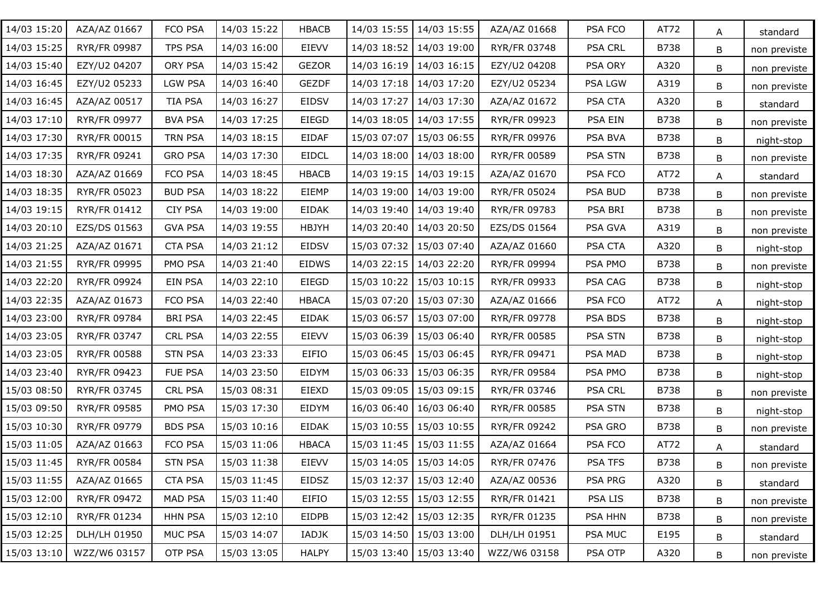| 14/03 15:20 | AZA/AZ 01667 | FCO PSA        | 14/03 15:22 | <b>HBACB</b> | 14/03 15:55 | 14/03 15:55               | AZA/AZ 01668 | PSA FCO        | AT72        | A | standard     |
|-------------|--------------|----------------|-------------|--------------|-------------|---------------------------|--------------|----------------|-------------|---|--------------|
| 14/03 15:25 | RYR/FR 09987 | TPS PSA        | 14/03 16:00 | EIEVV        | 14/03 18:52 | 14/03 19:00               | RYR/FR 03748 | PSA CRL        | <b>B738</b> | B | non previste |
| 14/03 15:40 | EZY/U2 04207 | ORY PSA        | 14/03 15:42 | <b>GEZOR</b> |             | 14/03 16:19 14/03 16:15   | EZY/U2 04208 | PSA ORY        | A320        | B | non previste |
| 14/03 16:45 | EZY/U2 05233 | <b>LGW PSA</b> | 14/03 16:40 | <b>GEZDF</b> |             | 14/03 17:18 14/03 17:20   | EZY/U2 05234 | PSA LGW        | A319        | В | non previste |
| 14/03 16:45 | AZA/AZ 00517 | TIA PSA        | 14/03 16:27 | <b>EIDSV</b> | 14/03 17:27 | 14/03 17:30               | AZA/AZ 01672 | PSA CTA        | A320        | B | standard     |
| 14/03 17:10 | RYR/FR 09977 | <b>BVA PSA</b> | 14/03 17:25 | EIEGD        |             | 14/03 18:05 14/03 17:55   | RYR/FR 09923 | PSA EIN        | <b>B738</b> | В | non previste |
| 14/03 17:30 | RYR/FR 00015 | TRN PSA        | 14/03 18:15 | <b>EIDAF</b> | 15/03 07:07 | 15/03 06:55               | RYR/FR 09976 | PSA BVA        | <b>B738</b> | В | night-stop   |
| 14/03 17:35 | RYR/FR 09241 | <b>GRO PSA</b> | 14/03 17:30 | <b>EIDCL</b> |             | 14/03 18:00   14/03 18:00 | RYR/FR 00589 | <b>PSA STN</b> | <b>B738</b> | В | non previste |
| 14/03 18:30 | AZA/AZ 01669 | FCO PSA        | 14/03 18:45 | <b>HBACB</b> |             | 14/03 19:15 14/03 19:15   | AZA/AZ 01670 | PSA FCO        | AT72        | A | standard     |
| 14/03 18:35 | RYR/FR 05023 | <b>BUD PSA</b> | 14/03 18:22 | EIEMP        |             | 14/03 19:00   14/03 19:00 | RYR/FR 05024 | PSA BUD        | <b>B738</b> | В | non previste |
| 14/03 19:15 | RYR/FR 01412 | <b>CIY PSA</b> | 14/03 19:00 | <b>EIDAK</b> |             | 14/03 19:40   14/03 19:40 | RYR/FR 09783 | PSA BRI        | <b>B738</b> | B | non previste |
| 14/03 20:10 | EZS/DS 01563 | <b>GVA PSA</b> | 14/03 19:55 | <b>HBJYH</b> |             | 14/03 20:40   14/03 20:50 | EZS/DS 01564 | PSA GVA        | A319        | B | non previste |
| 14/03 21:25 | AZA/AZ 01671 | <b>CTA PSA</b> | 14/03 21:12 | EIDSV        | 15/03 07:32 | 15/03 07:40               | AZA/AZ 01660 | PSA CTA        | A320        | В | night-stop   |
| 14/03 21:55 | RYR/FR 09995 | PMO PSA        | 14/03 21:40 | EIDWS        |             | 14/03 22:15   14/03 22:20 | RYR/FR 09994 | PSA PMO        | <b>B738</b> | В | non previste |
| 14/03 22:20 | RYR/FR 09924 | EIN PSA        | 14/03 22:10 | EIEGD        | 15/03 10:22 | 15/03 10:15               | RYR/FR 09933 | PSA CAG        | <b>B738</b> | В | night-stop   |
| 14/03 22:35 | AZA/AZ 01673 | FCO PSA        | 14/03 22:40 | <b>HBACA</b> | 15/03 07:20 | 15/03 07:30               | AZA/AZ 01666 | PSA FCO        | AT72        | A | night-stop   |
| 14/03 23:00 | RYR/FR 09784 | <b>BRI PSA</b> | 14/03 22:45 | <b>EIDAK</b> | 15/03 06:57 | 15/03 07:00               | RYR/FR 09778 | PSA BDS        | <b>B738</b> | В | night-stop   |
| 14/03 23:05 | RYR/FR 03747 | <b>CRL PSA</b> | 14/03 22:55 | <b>EIEVV</b> | 15/03 06:39 | 15/03 06:40               | RYR/FR 00585 | <b>PSA STN</b> | <b>B738</b> | В | night-stop   |
| 14/03 23:05 | RYR/FR 00588 | <b>STN PSA</b> | 14/03 23:33 | EIFIO        | 15/03 06:45 | 15/03 06:45               | RYR/FR 09471 | PSA MAD        | <b>B738</b> | В | night-stop   |
| 14/03 23:40 | RYR/FR 09423 | FUE PSA        | 14/03 23:50 | EIDYM        | 15/03 06:33 | 15/03 06:35               | RYR/FR 09584 | PSA PMO        | <b>B738</b> | B | night-stop   |
| 15/03 08:50 | RYR/FR 03745 | <b>CRL PSA</b> | 15/03 08:31 | <b>EIEXD</b> | 15/03 09:05 | 15/03 09:15               | RYR/FR 03746 | <b>PSA CRL</b> | <b>B738</b> | B | non previste |
| 15/03 09:50 | RYR/FR 09585 | PMO PSA        | 15/03 17:30 | EIDYM        | 16/03 06:40 | 16/03 06:40               | RYR/FR 00585 | <b>PSA STN</b> | <b>B738</b> | B | night-stop   |
| 15/03 10:30 | RYR/FR 09779 | <b>BDS PSA</b> | 15/03 10:16 | EIDAK        | 15/03 10:55 | 15/03 10:55               | RYR/FR 09242 | PSA GRO        | <b>B738</b> | B | non previste |
| 15/03 11:05 | AZA/AZ 01663 | FCO PSA        | 15/03 11:06 | <b>HBACA</b> |             | 15/03 11:45   15/03 11:55 | AZA/AZ 01664 | PSA FCO        | AT72        | A | standard     |
| 15/03 11:45 | RYR/FR 00584 | <b>STN PSA</b> | 15/03 11:38 | <b>EIEVV</b> |             | 15/03 14:05 15/03 14:05   | RYR/FR 07476 | <b>PSA TFS</b> | <b>B738</b> | B | non previste |
| 15/03 11:55 | AZA/AZ 01665 | <b>CTA PSA</b> | 15/03 11:45 | EIDSZ        |             | 15/03 12:37 15/03 12:40   | AZA/AZ 00536 | PSA PRG        | A320        | B | standard     |
| 15/03 12:00 | RYR/FR 09472 | MAD PSA        | 15/03 11:40 | EIFIO        |             | 15/03 12:55   15/03 12:55 | RYR/FR 01421 | PSA LIS        | <b>B738</b> | B | non previste |
| 15/03 12:10 | RYR/FR 01234 | <b>HHN PSA</b> | 15/03 12:10 | <b>EIDPB</b> |             | 15/03 12:42 15/03 12:35   | RYR/FR 01235 | PSA HHN        | <b>B738</b> | B | non previste |
| 15/03 12:25 | DLH/LH 01950 | MUC PSA        | 15/03 14:07 | IADJK        |             | 15/03 14:50 15/03 13:00   | DLH/LH 01951 | <b>PSA MUC</b> | E195        | В | standard     |
| 15/03 13:10 | WZZ/W6 03157 | OTP PSA        | 15/03 13:05 | <b>HALPY</b> |             | 15/03 13:40   15/03 13:40 | WZZ/W6 03158 | PSA OTP        | A320        | B | non previste |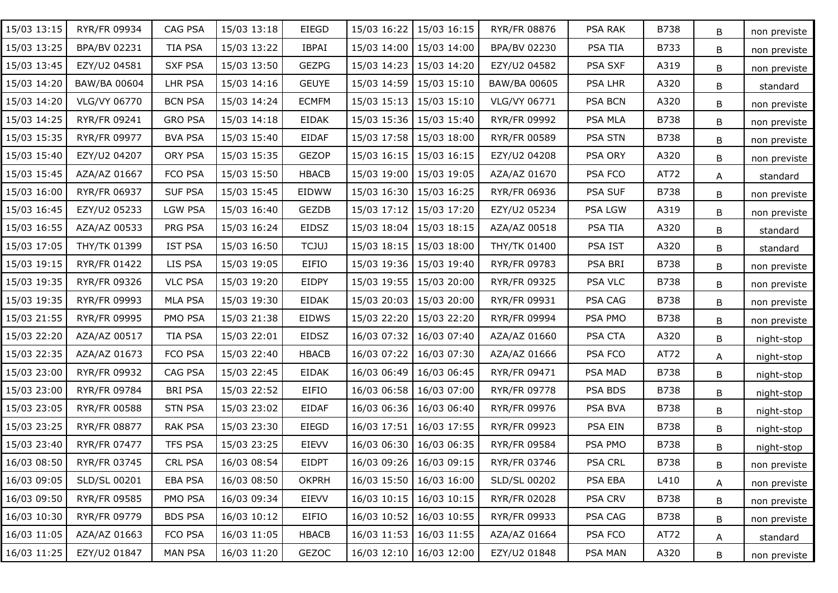| 15/03 13:15 | RYR/FR 09934        | CAG PSA        | 15/03 13:18 | EIEGD        | 15/03 16:22 | 15/03 16:15               | RYR/FR 08876        | PSA RAK        | B738        | B | non previste |
|-------------|---------------------|----------------|-------------|--------------|-------------|---------------------------|---------------------|----------------|-------------|---|--------------|
| 15/03 13:25 | BPA/BV 02231        | TIA PSA        | 15/03 13:22 | <b>IBPAI</b> | 15/03 14:00 | 15/03 14:00               | BPA/BV 02230        | PSA TIA        | B733        | B | non previste |
| 15/03 13:45 | EZY/U2 04581        | <b>SXF PSA</b> | 15/03 13:50 | <b>GEZPG</b> | 15/03 14:23 | 15/03 14:20               | EZY/U2 04582        | PSA SXF        | A319        | B | non previste |
| 15/03 14:20 | BAW/BA 00604        | LHR PSA        | 15/03 14:16 | <b>GEUYE</b> | 15/03 14:59 | 15/03 15:10               | BAW/BA 00605        | <b>PSA LHR</b> | A320        | B | standard     |
| 15/03 14:20 | VLG/VY 06770        | <b>BCN PSA</b> | 15/03 14:24 | <b>ECMFM</b> | 15/03 15:13 | 15/03 15:10               | VLG/VY 06771        | PSA BCN        | A320        | B | non previste |
| 15/03 14:25 | RYR/FR 09241        | <b>GRO PSA</b> | 15/03 14:18 | <b>EIDAK</b> |             | 15/03 15:36 15/03 15:40   | RYR/FR 09992        | PSA MLA        | <b>B738</b> | B | non previste |
| 15/03 15:35 | RYR/FR 09977        | <b>BVA PSA</b> | 15/03 15:40 | <b>EIDAF</b> |             | 15/03 17:58   15/03 18:00 | RYR/FR 00589        | <b>PSA STN</b> | <b>B738</b> | B | non previste |
| 15/03 15:40 | EZY/U2 04207        | ORY PSA        | 15/03 15:35 | <b>GEZOP</b> |             | 15/03 16:15   15/03 16:15 | EZY/U2 04208        | PSA ORY        | A320        | B | non previste |
| 15/03 15:45 | AZA/AZ 01667        | FCO PSA        | 15/03 15:50 | <b>HBACB</b> |             | 15/03 19:00   15/03 19:05 | AZA/AZ 01670        | PSA FCO        | AT72        | A | standard     |
| 15/03 16:00 | RYR/FR 06937        | <b>SUF PSA</b> | 15/03 15:45 | <b>EIDWW</b> |             | 15/03 16:30   15/03 16:25 | RYR/FR 06936        | <b>PSA SUF</b> | <b>B738</b> | B | non previste |
| 15/03 16:45 | EZY/U2 05233        | <b>LGW PSA</b> | 15/03 16:40 | <b>GEZDB</b> | 15/03 17:12 | 15/03 17:20               | EZY/U2 05234        | PSA LGW        | A319        | B | non previste |
| 15/03 16:55 | AZA/AZ 00533        | PRG PSA        | 15/03 16:24 | EIDSZ        | 15/03 18:04 | 15/03 18:15               | AZA/AZ 00518        | PSA TIA        | A320        | B | standard     |
| 15/03 17:05 | THY/TK 01399        | <b>IST PSA</b> | 15/03 16:50 | <b>TCJUJ</b> | 15/03 18:15 | 15/03 18:00               | <b>THY/TK 01400</b> | PSA IST        | A320        | B | standard     |
| 15/03 19:15 | RYR/FR 01422        | LIS PSA        | 15/03 19:05 | EIFIO        |             | 15/03 19:36   15/03 19:40 | RYR/FR 09783        | PSA BRI        | <b>B738</b> | B | non previste |
| 15/03 19:35 | RYR/FR 09326        | <b>VLC PSA</b> | 15/03 19:20 | <b>EIDPY</b> | 15/03 19:55 | 15/03 20:00               | RYR/FR 09325        | <b>PSA VLC</b> | <b>B738</b> | B | non previste |
| 15/03 19:35 | RYR/FR 09993        | <b>MLA PSA</b> | 15/03 19:30 | <b>EIDAK</b> | 15/03 20:03 | 15/03 20:00               | RYR/FR 09931        | PSA CAG        | <b>B738</b> | B | non previste |
| 15/03 21:55 | RYR/FR 09995        | PMO PSA        | 15/03 21:38 | <b>EIDWS</b> | 15/03 22:20 | 15/03 22:20               | RYR/FR 09994        | PSA PMO        | <b>B738</b> | B | non previste |
| 15/03 22:20 | AZA/AZ 00517        | TIA PSA        | 15/03 22:01 | EIDSZ        | 16/03 07:32 | 16/03 07:40               | AZA/AZ 01660        | PSA CTA        | A320        | B | night-stop   |
| 15/03 22:35 | AZA/AZ 01673        | FCO PSA        | 15/03 22:40 | <b>HBACB</b> | 16/03 07:22 | 16/03 07:30               | AZA/AZ 01666        | PSA FCO        | AT72        | A | night-stop   |
| 15/03 23:00 | RYR/FR 09932        | CAG PSA        | 15/03 22:45 | <b>EIDAK</b> | 16/03 06:49 | 16/03 06:45               | RYR/FR 09471        | PSA MAD        | <b>B738</b> | B | night-stop   |
| 15/03 23:00 | RYR/FR 09784        | <b>BRI PSA</b> | 15/03 22:52 | <b>EIFIO</b> | 16/03 06:58 | 16/03 07:00               | RYR/FR 09778        | PSA BDS        | <b>B738</b> | B | night-stop   |
| 15/03 23:05 | <b>RYR/FR 00588</b> | <b>STN PSA</b> | 15/03 23:02 | <b>EIDAF</b> |             | 16/03 06:36   16/03 06:40 | RYR/FR 09976        | PSA BVA        | <b>B738</b> | B | night-stop   |
| 15/03 23:25 | RYR/FR 08877        | RAK PSA        | 15/03 23:30 | EIEGD        | 16/03 17:51 | 16/03 17:55               | RYR/FR 09923        | PSA EIN        | <b>B738</b> | B | night-stop   |
| 15/03 23:40 | RYR/FR 07477        | TFS PSA        | 15/03 23:25 | EIEVV        | 16/03 06:30 | 16/03 06:35               | RYR/FR 09584        | PSA PMO        | B738        | B | night-stop   |
| 16/03 08:50 | RYR/FR 03745        | <b>CRL PSA</b> | 16/03 08:54 | <b>EIDPT</b> |             | 16/03 09:26 16/03 09:15   | RYR/FR 03746        | <b>PSA CRL</b> | B738        | B | non previste |
| 16/03 09:05 | SLD/SL 00201        | EBA PSA        | 16/03 08:50 | <b>OKPRH</b> |             | 16/03 15:50   16/03 16:00 | SLD/SL 00202        | PSA EBA        | L410        | A | non previste |
| 16/03 09:50 | RYR/FR 09585        | PMO PSA        | 16/03 09:34 | EIEVV        |             | 16/03 10:15   16/03 10:15 | RYR/FR 02028        | <b>PSA CRV</b> | <b>B738</b> | B | non previste |
| 16/03 10:30 | RYR/FR 09779        | <b>BDS PSA</b> | 16/03 10:12 | EIFIO        |             | 16/03 10:52 16/03 10:55   | RYR/FR 09933        | PSA CAG        | <b>B738</b> | B | non previste |
| 16/03 11:05 | AZA/AZ 01663        | FCO PSA        | 16/03 11:05 | <b>HBACB</b> |             | 16/03 11:53 16/03 11:55   | AZA/AZ 01664        | PSA FCO        | AT72        | A | standard     |
| 16/03 11:25 | EZY/U2 01847        | <b>MAN PSA</b> | 16/03 11:20 | <b>GEZOC</b> |             | 16/03 12:10 16/03 12:00   | EZY/U2 01848        | PSA MAN        | A320        | В | non previste |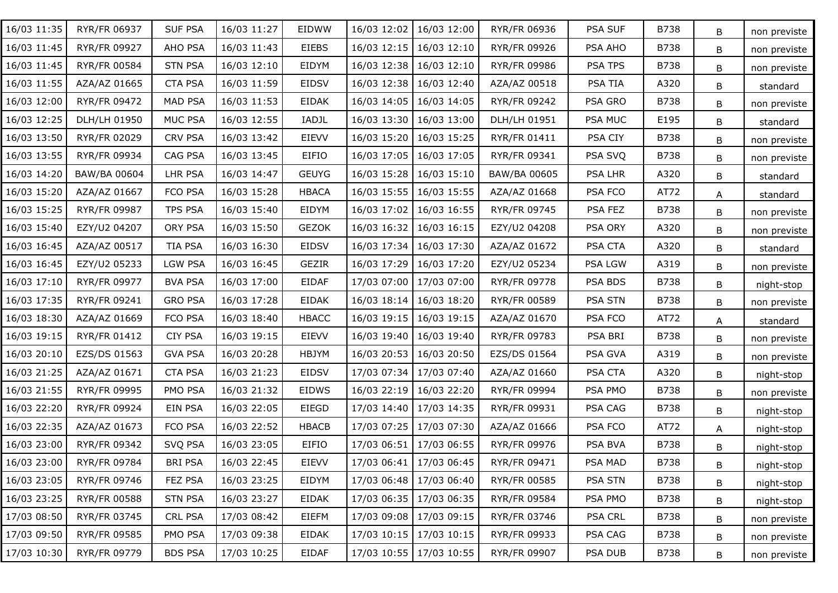| 16/03 11:35 | RYR/FR 06937 | <b>SUF PSA</b> | 16/03 11:27 | EIDWW        | 16/03 12:02 | 16/03 12:00               | RYR/FR 06936        | PSA SUF        | B738        | B | non previste |
|-------------|--------------|----------------|-------------|--------------|-------------|---------------------------|---------------------|----------------|-------------|---|--------------|
| 16/03 11:45 | RYR/FR 09927 | AHO PSA        | 16/03 11:43 | <b>EIEBS</b> | 16/03 12:15 | 16/03 12:10               | RYR/FR 09926        | PSA AHO        | B738        | B | non previste |
| 16/03 11:45 | RYR/FR 00584 | <b>STN PSA</b> | 16/03 12:10 | EIDYM        | 16/03 12:38 | 16/03 12:10               | <b>RYR/FR 09986</b> | PSA TPS        | B738        | B | non previste |
| 16/03 11:55 | AZA/AZ 01665 | <b>CTA PSA</b> | 16/03 11:59 | <b>EIDSV</b> | 16/03 12:38 | 16/03 12:40               | AZA/AZ 00518        | PSA TIA        | A320        | B | standard     |
| 16/03 12:00 | RYR/FR 09472 | MAD PSA        | 16/03 11:53 | <b>EIDAK</b> | 16/03 14:05 | 16/03 14:05               | RYR/FR 09242        | PSA GRO        | B738        | B | non previste |
| 16/03 12:25 | DLH/LH 01950 | <b>MUC PSA</b> | 16/03 12:55 | IADJL        |             | 16/03 13:30   16/03 13:00 | DLH/LH 01951        | PSA MUC        | E195        | B | standard     |
| 16/03 13:50 | RYR/FR 02029 | <b>CRV PSA</b> | 16/03 13:42 | <b>EIEVV</b> | 16/03 15:20 | 16/03 15:25               | <b>RYR/FR 01411</b> | PSA CIY        | <b>B738</b> | B | non previste |
| 16/03 13:55 | RYR/FR 09934 | CAG PSA        | 16/03 13:45 | EIFIO        | 16/03 17:05 | 16/03 17:05               | RYR/FR 09341        | PSA SVQ        | <b>B738</b> | B | non previste |
| 16/03 14:20 | BAW/BA 00604 | LHR PSA        | 16/03 14:47 | <b>GEUYG</b> |             | 16/03 15:28   16/03 15:10 | BAW/BA 00605        | <b>PSA LHR</b> | A320        | B | standard     |
| 16/03 15:20 | AZA/AZ 01667 | FCO PSA        | 16/03 15:28 | <b>HBACA</b> |             | 16/03 15:55   16/03 15:55 | AZA/AZ 01668        | PSA FCO        | AT72        | A | standard     |
| 16/03 15:25 | RYR/FR 09987 | TPS PSA        | 16/03 15:40 | EIDYM        | 16/03 17:02 | 16/03 16:55               | RYR/FR 09745        | PSA FEZ        | <b>B738</b> | B | non previste |
| 16/03 15:40 | EZY/U2 04207 | ORY PSA        | 16/03 15:50 | <b>GEZOK</b> | 16/03 16:32 | 16/03 16:15               | EZY/U2 04208        | PSA ORY        | A320        | B | non previste |
| 16/03 16:45 | AZA/AZ 00517 | <b>TIA PSA</b> | 16/03 16:30 | <b>EIDSV</b> | 16/03 17:34 | 16/03 17:30               | AZA/AZ 01672        | PSA CTA        | A320        | B | standard     |
| 16/03 16:45 | EZY/U2 05233 | LGW PSA        | 16/03 16:45 | GEZIR        | 16/03 17:29 | 16/03 17:20               | EZY/U2 05234        | PSA LGW        | A319        | B | non previste |
| 16/03 17:10 | RYR/FR 09977 | <b>BVA PSA</b> | 16/03 17:00 | <b>EIDAF</b> | 17/03 07:00 | 17/03 07:00               | RYR/FR 09778        | PSA BDS        | <b>B738</b> | B | night-stop   |
| 16/03 17:35 | RYR/FR 09241 | <b>GRO PSA</b> | 16/03 17:28 | <b>EIDAK</b> | 16/03 18:14 | 16/03 18:20               | RYR/FR 00589        | <b>PSA STN</b> | B738        | B | non previste |
| 16/03 18:30 | AZA/AZ 01669 | FCO PSA        | 16/03 18:40 | <b>HBACC</b> | 16/03 19:15 | 16/03 19:15               | AZA/AZ 01670        | PSA FCO        | AT72        | A | standard     |
| 16/03 19:15 | RYR/FR 01412 | <b>CIY PSA</b> | 16/03 19:15 | <b>EIEVV</b> | 16/03 19:40 | 16/03 19:40               | RYR/FR 09783        | PSA BRI        | B738        | B | non previste |
| 16/03 20:10 | EZS/DS 01563 | <b>GVA PSA</b> | 16/03 20:28 | <b>HBJYM</b> | 16/03 20:53 | 16/03 20:50               | EZS/DS 01564        | PSA GVA        | A319        | B | non previste |
| 16/03 21:25 | AZA/AZ 01671 | <b>CTA PSA</b> | 16/03 21:23 | <b>EIDSV</b> | 17/03 07:34 | 17/03 07:40               | AZA/AZ 01660        | PSA CTA        | A320        | B | night-stop   |
| 16/03 21:55 | RYR/FR 09995 | PMO PSA        | 16/03 21:32 | <b>EIDWS</b> | 16/03 22:19 | 16/03 22:20               | RYR/FR 09994        | PSA PMO        | <b>B738</b> | B | non previste |
| 16/03 22:20 | RYR/FR 09924 | EIN PSA        | 16/03 22:05 | EIEGD        | 17/03 14:40 | 17/03 14:35               | RYR/FR 09931        | PSA CAG        | B738        | B | night-stop   |
| 16/03 22:35 | AZA/AZ 01673 | FCO PSA        | 16/03 22:52 | <b>HBACB</b> | 17/03 07:25 | 17/03 07:30               | AZA/AZ 01666        | PSA FCO        | AT72        | A | night-stop   |
| 16/03 23:00 | RYR/FR 09342 | SVQ PSA        | 16/03 23:05 | EIFIO        | 17/03 06:51 | 17/03 06:55               | RYR/FR 09976        | PSA BVA        | B738        | B | night-stop   |
| 16/03 23:00 | RYR/FR 09784 | <b>BRI PSA</b> | 16/03 22:45 | EIEVV        |             | 17/03 06:41 17/03 06:45   | RYR/FR 09471        | PSA MAD        | B738        | B | night-stop   |
| 16/03 23:05 | RYR/FR 09746 | FEZ PSA        | 16/03 23:25 | EIDYM        |             | 17/03 06:48   17/03 06:40 | <b>RYR/FR 00585</b> | <b>PSA STN</b> | B738        | B | night-stop   |
| 16/03 23:25 | RYR/FR 00588 | <b>STN PSA</b> | 16/03 23:27 | <b>EIDAK</b> |             | 17/03 06:35   17/03 06:35 | <b>RYR/FR 09584</b> | PSA PMO        | B738        | B | night-stop   |
| 17/03 08:50 | RYR/FR 03745 | <b>CRL PSA</b> | 17/03 08:42 | EIEFM        |             | 17/03 09:08 17/03 09:15   | RYR/FR 03746        | <b>PSA CRL</b> | B738        | B | non previste |
| 17/03 09:50 | RYR/FR 09585 | PMO PSA        | 17/03 09:38 | <b>EIDAK</b> |             | 17/03 10:15   17/03 10:15 | RYR/FR 09933        | PSA CAG        | B738        | B | non previste |
| 17/03 10:30 | RYR/FR 09779 | <b>BDS PSA</b> | 17/03 10:25 | <b>EIDAF</b> |             | 17/03 10:55 17/03 10:55   | RYR/FR 09907        | PSA DUB        | B738        | B | non previste |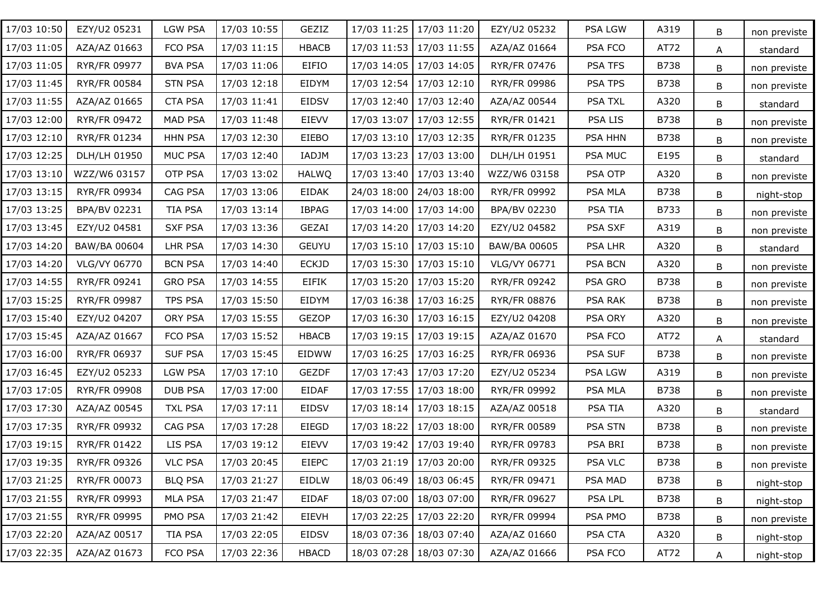| 17/03 10:50 | EZY/U2 05231        | <b>LGW PSA</b> | 17/03 10:55 | GEZIZ        | 17/03 11:25 | 17/03 11:20               | EZY/U2 05232        | PSA LGW        | A319        | B | non previste |
|-------------|---------------------|----------------|-------------|--------------|-------------|---------------------------|---------------------|----------------|-------------|---|--------------|
| 17/03 11:05 | AZA/AZ 01663        | FCO PSA        | 17/03 11:15 | <b>HBACB</b> | 17/03 11:53 | 17/03 11:55               | AZA/AZ 01664        | PSA FCO        | AT72        | A | standard     |
| 17/03 11:05 | RYR/FR 09977        | <b>BVA PSA</b> | 17/03 11:06 | EIFIO        | 17/03 14:05 | 17/03 14:05               | RYR/FR 07476        | PSA TFS        | <b>B738</b> | B | non previste |
| 17/03 11:45 | RYR/FR 00584        | <b>STN PSA</b> | 17/03 12:18 | EIDYM        |             | 17/03 12:54 17/03 12:10   | <b>RYR/FR 09986</b> | PSA TPS        | <b>B738</b> | B | non previste |
| 17/03 11:55 | AZA/AZ 01665        | <b>CTA PSA</b> | 17/03 11:41 | <b>EIDSV</b> | 17/03 12:40 | 17/03 12:40               | AZA/AZ 00544        | PSA TXL        | A320        | B | standard     |
| 17/03 12:00 | RYR/FR 09472        | <b>MAD PSA</b> | 17/03 11:48 | <b>EIEVV</b> | 17/03 13:07 | 17/03 12:55               | RYR/FR 01421        | PSA LIS        | <b>B738</b> | B | non previste |
| 17/03 12:10 | RYR/FR 01234        | <b>HHN PSA</b> | 17/03 12:30 | EIEBO        |             | 17/03 13:10   17/03 12:35 | RYR/FR 01235        | PSA HHN        | <b>B738</b> | В | non previste |
| 17/03 12:25 | DLH/LH 01950        | MUC PSA        | 17/03 12:40 | IADJM        | 17/03 13:23 | 17/03 13:00               | DLH/LH 01951        | PSA MUC        | E195        | B | standard     |
| 17/03 13:10 | WZZ/W6 03157        | OTP PSA        | 17/03 13:02 | <b>HALWQ</b> |             | 17/03 13:40 17/03 13:40   | WZZ/W6 03158        | PSA OTP        | A320        | В | non previste |
| 17/03 13:15 | RYR/FR 09934        | CAG PSA        | 17/03 13:06 | EIDAK        |             | 24/03 18:00   24/03 18:00 | RYR/FR 09992        | PSA MLA        | <b>B738</b> | В | night-stop   |
| 17/03 13:25 | BPA/BV 02231        | TIA PSA        | 17/03 13:14 | <b>IBPAG</b> |             | 17/03 14:00   17/03 14:00 | BPA/BV 02230        | PSA TIA        | B733        | В | non previste |
| 17/03 13:45 | EZY/U2 04581        | <b>SXF PSA</b> | 17/03 13:36 | GEZAI        |             | 17/03 14:20   17/03 14:20 | EZY/U2 04582        | PSA SXF        | A319        | В | non previste |
| 17/03 14:20 | BAW/BA 00604        | LHR PSA        | 17/03 14:30 | <b>GEUYU</b> |             | 17/03 15:10   17/03 15:10 | BAW/BA 00605        | <b>PSA LHR</b> | A320        | В | standard     |
| 17/03 14:20 | VLG/VY 06770        | <b>BCN PSA</b> | 17/03 14:40 | <b>ECKJD</b> |             | 17/03 15:30   17/03 15:10 | VLG/VY 06771        | <b>PSA BCN</b> | A320        | В | non previste |
| 17/03 14:55 | RYR/FR 09241        | <b>GRO PSA</b> | 17/03 14:55 | <b>EIFIK</b> |             | 17/03 15:20   17/03 15:20 | RYR/FR 09242        | PSA GRO        | <b>B738</b> | В | non previste |
| 17/03 15:25 | RYR/FR 09987        | TPS PSA        | 17/03 15:50 | EIDYM        |             | 17/03 16:38 17/03 16:25   | RYR/FR 08876        | PSA RAK        | <b>B738</b> | В | non previste |
| 17/03 15:40 | EZY/U2 04207        | ORY PSA        | 17/03 15:55 | <b>GEZOP</b> | 17/03 16:30 | 17/03 16:15               | EZY/U2 04208        | <b>PSA ORY</b> | A320        | В | non previste |
| 17/03 15:45 | AZA/AZ 01667        | FCO PSA        | 17/03 15:52 | <b>HBACB</b> |             | 17/03 19:15   17/03 19:15 | AZA/AZ 01670        | PSA FCO        | AT72        | A | standard     |
| 17/03 16:00 | RYR/FR 06937        | <b>SUF PSA</b> | 17/03 15:45 | EIDWW        | 17/03 16:25 | 17/03 16:25               | RYR/FR 06936        | <b>PSA SUF</b> | <b>B738</b> | B | non previste |
| 17/03 16:45 | EZY/U2 05233        | <b>LGW PSA</b> | 17/03 17:10 | <b>GEZDF</b> |             | 17/03 17:43 17/03 17:20   | EZY/U2 05234        | PSA LGW        | A319        | B | non previste |
| 17/03 17:05 | RYR/FR 09908        | <b>DUB PSA</b> | 17/03 17:00 | <b>EIDAF</b> |             | 17/03 17:55   17/03 18:00 | RYR/FR 09992        | <b>PSA MLA</b> | <b>B738</b> | B | non previste |
| 17/03 17:30 | AZA/AZ 00545        | <b>TXL PSA</b> | 17/03 17:11 | <b>EIDSV</b> | 17/03 18:14 | 17/03 18:15               | AZA/AZ 00518        | PSA TIA        | A320        | B | standard     |
| 17/03 17:35 | RYR/FR 09932        | CAG PSA        | 17/03 17:28 | EIEGD        | 17/03 18:22 | 17/03 18:00               | RYR/FR 00589        | <b>PSA STN</b> | <b>B738</b> | B | non previste |
| 17/03 19:15 | RYR/FR 01422        | LIS PSA        | 17/03 19:12 | EIEVV        |             | 17/03 19:42 17/03 19:40   | RYR/FR 09783        | PSA BRI        | <b>B738</b> | B | non previste |
| 17/03 19:35 | RYR/FR 09326        | <b>VLC PSA</b> | 17/03 20:45 | <b>EIEPC</b> |             | 17/03 21:19 17/03 20:00   | RYR/FR 09325        | PSA VLC        | <b>B738</b> | B | non previste |
| 17/03 21:25 | RYR/FR 00073        | <b>BLQ PSA</b> | 17/03 21:27 | EIDLW        | 18/03 06:49 | 18/03 06:45               | RYR/FR 09471        | PSA MAD        | <b>B738</b> | B | night-stop   |
| 17/03 21:55 | RYR/FR 09993        | <b>MLA PSA</b> | 17/03 21:47 | EIDAF        | 18/03 07:00 | 18/03 07:00               | RYR/FR 09627        | PSA LPL        | <b>B738</b> | B | night-stop   |
| 17/03 21:55 | <b>RYR/FR 09995</b> | PMO PSA        | 17/03 21:42 | EIEVH        |             | 17/03 22:25 17/03 22:20   | RYR/FR 09994        | PSA PMO        | <b>B738</b> | B | non previste |
| 17/03 22:20 | AZA/AZ 00517        | TIA PSA        | 17/03 22:05 | <b>EIDSV</b> |             | 18/03 07:36 18/03 07:40   | AZA/AZ 01660        | PSA CTA        | A320        | В | night-stop   |
| 17/03 22:35 | AZA/AZ 01673        | FCO PSA        | 17/03 22:36 | <b>HBACD</b> |             | 18/03 07:28   18/03 07:30 | AZA/AZ 01666        | PSA FCO        | AT72        | A | night-stop   |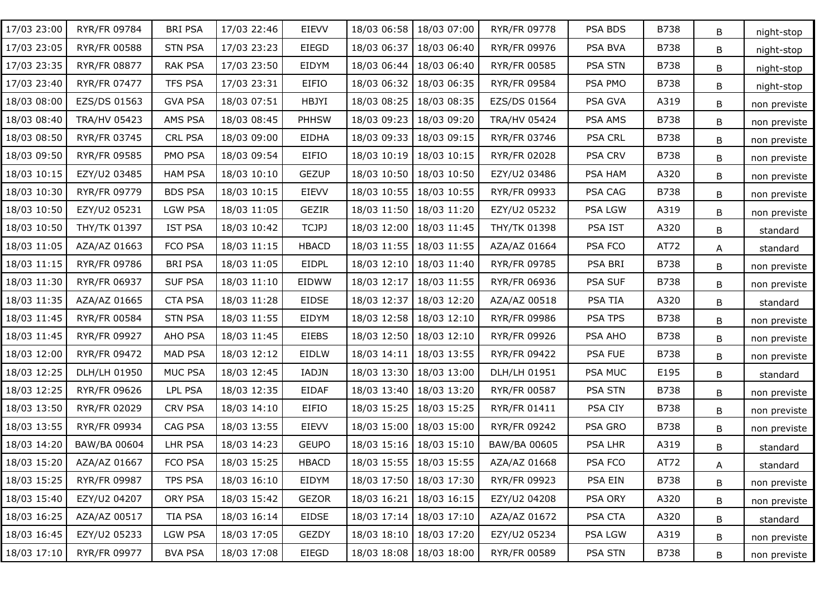| 17/03 23:00 | RYR/FR 09784        | <b>BRI PSA</b> | 17/03 22:46 | EIEVV        | 18/03 06:58 | 18/03 07:00               | RYR/FR 09778        | PSA BDS        | B738        | B | night-stop   |
|-------------|---------------------|----------------|-------------|--------------|-------------|---------------------------|---------------------|----------------|-------------|---|--------------|
| 17/03 23:05 | <b>RYR/FR 00588</b> | <b>STN PSA</b> | 17/03 23:23 | EIEGD        | 18/03 06:37 | 18/03 06:40               | RYR/FR 09976        | PSA BVA        | B738        | B | night-stop   |
| 17/03 23:35 | RYR/FR 08877        | RAK PSA        | 17/03 23:50 | EIDYM        | 18/03 06:44 | 18/03 06:40               | RYR/FR 00585        | <b>PSA STN</b> | <b>B738</b> | B | night-stop   |
| 17/03 23:40 | RYR/FR 07477        | <b>TFS PSA</b> | 17/03 23:31 | <b>EIFIO</b> | 18/03 06:32 | 18/03 06:35               | RYR/FR 09584        | PSA PMO        | <b>B738</b> | B | night-stop   |
| 18/03 08:00 | EZS/DS 01563        | <b>GVA PSA</b> | 18/03 07:51 | HBJYI        | 18/03 08:25 | 18/03 08:35               | EZS/DS 01564        | PSA GVA        | A319        | B | non previste |
| 18/03 08:40 | <b>TRA/HV 05423</b> | AMS PSA        | 18/03 08:45 | <b>PHHSW</b> | 18/03 09:23 | 18/03 09:20               | <b>TRA/HV 05424</b> | PSA AMS        | <b>B738</b> | B | non previste |
| 18/03 08:50 | RYR/FR 03745        | CRL PSA        | 18/03 09:00 | <b>EIDHA</b> | 18/03 09:33 | 18/03 09:15               | RYR/FR 03746        | <b>PSA CRL</b> | <b>B738</b> | B | non previste |
| 18/03 09:50 | RYR/FR 09585        | PMO PSA        | 18/03 09:54 | EIFIO        | 18/03 10:19 | 18/03 10:15               | RYR/FR 02028        | <b>PSA CRV</b> | <b>B738</b> | B | non previste |
| 18/03 10:15 | EZY/U2 03485        | <b>HAM PSA</b> | 18/03 10:10 | <b>GEZUP</b> | 18/03 10:50 | 18/03 10:50               | EZY/U2 03486        | PSA HAM        | A320        | B | non previste |
| 18/03 10:30 | RYR/FR 09779        | <b>BDS PSA</b> | 18/03 10:15 | EIEVV        |             | 18/03 10:55   18/03 10:55 | RYR/FR 09933        | PSA CAG        | <b>B738</b> | B | non previste |
| 18/03 10:50 | EZY/U2 05231        | <b>LGW PSA</b> | 18/03 11:05 | <b>GEZIR</b> |             | 18/03 11:50   18/03 11:20 | EZY/U2 05232        | PSA LGW        | A319        | B | non previste |
| 18/03 10:50 | THY/TK 01397        | <b>IST PSA</b> | 18/03 10:42 | <b>TCJPJ</b> |             | 18/03 12:00   18/03 11:45 | THY/TK 01398        | PSA IST        | A320        | B | standard     |
| 18/03 11:05 | AZA/AZ 01663        | FCO PSA        | 18/03 11:15 | <b>HBACD</b> |             | 18/03 11:55   18/03 11:55 | AZA/AZ 01664        | PSA FCO        | AT72        | A | standard     |
| 18/03 11:15 | RYR/FR 09786        | <b>BRI PSA</b> | 18/03 11:05 | EIDPL        |             | 18/03 12:10   18/03 11:40 | RYR/FR 09785        | PSA BRI        | <b>B738</b> | B | non previste |
| 18/03 11:30 | RYR/FR 06937        | <b>SUF PSA</b> | 18/03 11:10 | <b>EIDWW</b> | 18/03 12:17 | 18/03 11:55               | RYR/FR 06936        | <b>PSA SUF</b> | <b>B738</b> | B | non previste |
| 18/03 11:35 | AZA/AZ 01665        | <b>CTA PSA</b> | 18/03 11:28 | EIDSE        | 18/03 12:37 | 18/03 12:20               | AZA/AZ 00518        | PSA TIA        | A320        | B | standard     |
| 18/03 11:45 | RYR/FR 00584        | <b>STN PSA</b> | 18/03 11:55 | EIDYM        | 18/03 12:58 | 18/03 12:10               | RYR/FR 09986        | <b>PSA TPS</b> | <b>B738</b> | B | non previste |
| 18/03 11:45 | RYR/FR 09927        | AHO PSA        | 18/03 11:45 | EIEBS        | 18/03 12:50 | 18/03 12:10               | RYR/FR 09926        | PSA AHO        | <b>B738</b> | B | non previste |
| 18/03 12:00 | RYR/FR 09472        | <b>MAD PSA</b> | 18/03 12:12 | <b>EIDLW</b> | 18/03 14:11 | 18/03 13:55               | <b>RYR/FR 09422</b> | <b>PSA FUE</b> | B738        | B | non previste |
| 18/03 12:25 | DLH/LH 01950        | MUC PSA        | 18/03 12:45 | IADJN        | 18/03 13:30 | 18/03 13:00               | DLH/LH 01951        | PSA MUC        | E195        | B | standard     |
| 18/03 12:25 | RYR/FR 09626        | <b>LPL PSA</b> | 18/03 12:35 | <b>EIDAF</b> | 18/03 13:40 | 18/03 13:20               | RYR/FR 00587        | <b>PSA STN</b> | <b>B738</b> | B | non previste |
| 18/03 13:50 | RYR/FR 02029        | CRV PSA        | 18/03 14:10 | <b>EIFIO</b> | 18/03 15:25 | 18/03 15:25               | <b>RYR/FR 01411</b> | PSA CIY        | <b>B738</b> | B | non previste |
| 18/03 13:55 | RYR/FR 09934        | CAG PSA        | 18/03 13:55 | EIEVV        | 18/03 15:00 | 18/03 15:00               | RYR/FR 09242        | PSA GRO        | <b>B738</b> | B | non previste |
| 18/03 14:20 | BAW/BA 00604        | LHR PSA        | 18/03 14:23 | <b>GEUPO</b> |             | 18/03 15:16 18/03 15:10   | BAW/BA 00605        | <b>PSA LHR</b> | A319        | B | standard     |
| 18/03 15:20 | AZA/AZ 01667        | FCO PSA        | 18/03 15:25 | <b>HBACD</b> |             | 18/03 15:55   18/03 15:55 | AZA/AZ 01668        | PSA FCO        | AT72        | A | standard     |
| 18/03 15:25 | RYR/FR 09987        | TPS PSA        | 18/03 16:10 | EIDYM        | 18/03 17:50 | 18/03 17:30               | RYR/FR 09923        | PSA EIN        | B738        | B | non previste |
| 18/03 15:40 | EZY/U2 04207        | ORY PSA        | 18/03 15:42 | GEZOR        | 18/03 16:21 | 18/03 16:15               | EZY/U2 04208        | PSA ORY        | A320        | B | non previste |
| 18/03 16:25 | AZA/AZ 00517        | TIA PSA        | 18/03 16:14 | <b>EIDSE</b> |             | 18/03 17:14 18/03 17:10   | AZA/AZ 01672        | PSA CTA        | A320        | B | standard     |
| 18/03 16:45 | EZY/U2 05233        | <b>LGW PSA</b> | 18/03 17:05 | GEZDY        |             | 18/03 18:10   18/03 17:20 | EZY/U2 05234        | PSA LGW        | A319        | B | non previste |
| 18/03 17:10 | RYR/FR 09977        | <b>BVA PSA</b> | 18/03 17:08 | EIEGD        |             | 18/03 18:08 18/03 18:00   | RYR/FR 00589        | <b>PSA STN</b> | <b>B738</b> | B | non previste |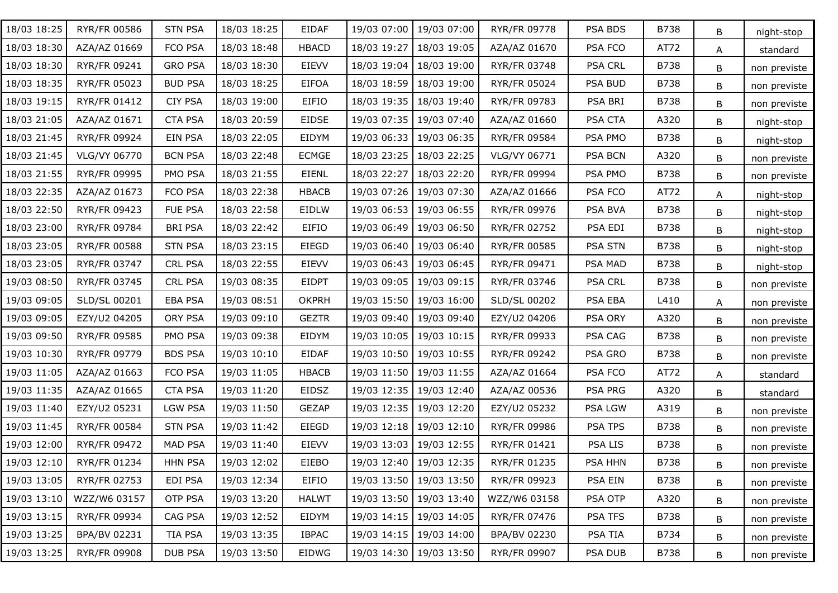| 18/03 18:25 | RYR/FR 00586 | <b>STN PSA</b> | 18/03 18:25 | EIDAF        | 19/03 07:00 | 19/03 07:00               | RYR/FR 09778        | PSA BDS        | B738        | B | night-stop   |
|-------------|--------------|----------------|-------------|--------------|-------------|---------------------------|---------------------|----------------|-------------|---|--------------|
| 18/03 18:30 | AZA/AZ 01669 | FCO PSA        | 18/03 18:48 | <b>HBACD</b> | 18/03 19:27 | 18/03 19:05               | AZA/AZ 01670        | PSA FCO        | AT72        | A | standard     |
| 18/03 18:30 | RYR/FR 09241 | <b>GRO PSA</b> | 18/03 18:30 | EIEVV        | 18/03 19:04 | 18/03 19:00               | RYR/FR 03748        | <b>PSA CRL</b> | B738        | B | non previste |
| 18/03 18:35 | RYR/FR 05023 | <b>BUD PSA</b> | 18/03 18:25 | <b>EIFOA</b> | 18/03 18:59 | 18/03 19:00               | <b>RYR/FR 05024</b> | PSA BUD        | B738        | B | non previste |
| 18/03 19:15 | RYR/FR 01412 | <b>CIY PSA</b> | 18/03 19:00 | EIFIO        | 18/03 19:35 | 18/03 19:40               | RYR/FR 09783        | PSA BRI        | B738        | B | non previste |
| 18/03 21:05 | AZA/AZ 01671 | <b>CTA PSA</b> | 18/03 20:59 | <b>EIDSE</b> | 19/03 07:35 | 19/03 07:40               | AZA/AZ 01660        | PSA CTA        | A320        | B | night-stop   |
| 18/03 21:45 | RYR/FR 09924 | EIN PSA        | 18/03 22:05 | EIDYM        | 19/03 06:33 | 19/03 06:35               | <b>RYR/FR 09584</b> | PSA PMO        | B738        | B | night-stop   |
| 18/03 21:45 | VLG/VY 06770 | <b>BCN PSA</b> | 18/03 22:48 | <b>ECMGE</b> | 18/03 23:25 | 18/03 22:25               | VLG/VY 06771        | <b>PSA BCN</b> | A320        | B | non previste |
| 18/03 21:55 | RYR/FR 09995 | PMO PSA        | 18/03 21:55 | EIENL        | 18/03 22:27 | 18/03 22:20               | RYR/FR 09994        | PSA PMO        | <b>B738</b> | B | non previste |
| 18/03 22:35 | AZA/AZ 01673 | FCO PSA        | 18/03 22:38 | <b>HBACB</b> | 19/03 07:26 | 19/03 07:30               | AZA/AZ 01666        | PSA FCO        | AT72        | A | night-stop   |
| 18/03 22:50 | RYR/FR 09423 | FUE PSA        | 18/03 22:58 | EIDLW        | 19/03 06:53 | 19/03 06:55               | RYR/FR 09976        | PSA BVA        | <b>B738</b> | B | night-stop   |
| 18/03 23:00 | RYR/FR 09784 | <b>BRI PSA</b> | 18/03 22:42 | EIFIO        | 19/03 06:49 | 19/03 06:50               | RYR/FR 02752        | PSA EDI        | B738        | В | night-stop   |
| 18/03 23:05 | RYR/FR 00588 | <b>STN PSA</b> | 18/03 23:15 | EIEGD        | 19/03 06:40 | 19/03 06:40               | RYR/FR 00585        | <b>PSA STN</b> | <b>B738</b> | B | night-stop   |
| 18/03 23:05 | RYR/FR 03747 | CRL PSA        | 18/03 22:55 | EIEVV        |             | 19/03 06:43   19/03 06:45 | RYR/FR 09471        | PSA MAD        | B738        | B | night-stop   |
| 19/03 08:50 | RYR/FR 03745 | <b>CRL PSA</b> | 19/03 08:35 | <b>EIDPT</b> | 19/03 09:05 | 19/03 09:15               | RYR/FR 03746        | <b>PSA CRL</b> | <b>B738</b> | B | non previste |
| 19/03 09:05 | SLD/SL 00201 | EBA PSA        | 19/03 08:51 | <b>OKPRH</b> | 19/03 15:50 | 19/03 16:00               | SLD/SL 00202        | PSA EBA        | L410        | A | non previste |
| 19/03 09:05 | EZY/U2 04205 | ORY PSA        | 19/03 09:10 | <b>GEZTR</b> | 19/03 09:40 | 19/03 09:40               | EZY/U2 04206        | <b>PSA ORY</b> | A320        | B | non previste |
| 19/03 09:50 | RYR/FR 09585 | PMO PSA        | 19/03 09:38 | EIDYM        | 19/03 10:05 | 19/03 10:15               | RYR/FR 09933        | PSA CAG        | B738        | B | non previste |
| 19/03 10:30 | RYR/FR 09779 | <b>BDS PSA</b> | 19/03 10:10 | <b>EIDAF</b> | 19/03 10:50 | 19/03 10:55               | RYR/FR 09242        | PSA GRO        | <b>B738</b> | B | non previste |
| 19/03 11:05 | AZA/AZ 01663 | FCO PSA        | 19/03 11:05 | <b>HBACB</b> | 19/03 11:50 | 19/03 11:55               | AZA/AZ 01664        | PSA FCO        | AT72        | A | standard     |
| 19/03 11:35 | AZA/AZ 01665 | <b>CTA PSA</b> | 19/03 11:20 | <b>EIDSZ</b> | 19/03 12:35 | 19/03 12:40               | AZA/AZ 00536        | PSA PRG        | A320        | B | standard     |
| 19/03 11:40 | EZY/U2 05231 | <b>LGW PSA</b> | 19/03 11:50 | <b>GEZAP</b> | 19/03 12:35 | 19/03 12:20               | EZY/U2 05232        | PSA LGW        | A319        | B | non previste |
| 19/03 11:45 | RYR/FR 00584 | <b>STN PSA</b> | 19/03 11:42 | EIEGD        | 19/03 12:18 | 19/03 12:10               | RYR/FR 09986        | PSA TPS        | <b>B738</b> | B | non previste |
| 19/03 12:00 | RYR/FR 09472 | MAD PSA        | 19/03 11:40 | <b>EIEVV</b> | 19/03 13:03 | 19/03 12:55               | <b>RYR/FR 01421</b> | PSA LIS        | B738        | B | non previste |
| 19/03 12:10 | RYR/FR 01234 | <b>HHN PSA</b> | 19/03 12:02 | EIEBO        |             | 19/03 12:40 19/03 12:35   | RYR/FR 01235        | PSA HHN        | B738        | B | non previste |
| 19/03 13:05 | RYR/FR 02753 | EDI PSA        | 19/03 12:34 | EIFIO        | 19/03 13:50 | 19/03 13:50               | RYR/FR 09923        | PSA EIN        | B738        | B | non previste |
| 19/03 13:10 | WZZ/W6 03157 | OTP PSA        | 19/03 13:20 | <b>HALWT</b> |             | 19/03 13:50 19/03 13:40   | WZZ/W6 03158        | PSA OTP        | A320        | B | non previste |
| 19/03 13:15 | RYR/FR 09934 | CAG PSA        | 19/03 12:52 | EIDYM        |             | 19/03 14:15   19/03 14:05 | RYR/FR 07476        | PSA TFS        | B738        | B | non previste |
| 19/03 13:25 | BPA/BV 02231 | TIA PSA        | 19/03 13:35 | <b>IBPAC</b> |             | 19/03 14:15   19/03 14:00 | BPA/BV 02230        | PSA TIA        | B734        | B | non previste |
| 19/03 13:25 | RYR/FR 09908 | DUB PSA        | 19/03 13:50 | EIDWG        |             | 19/03 14:30 19/03 13:50   | RYR/FR 09907        | PSA DUB        | B738        | B | non previste |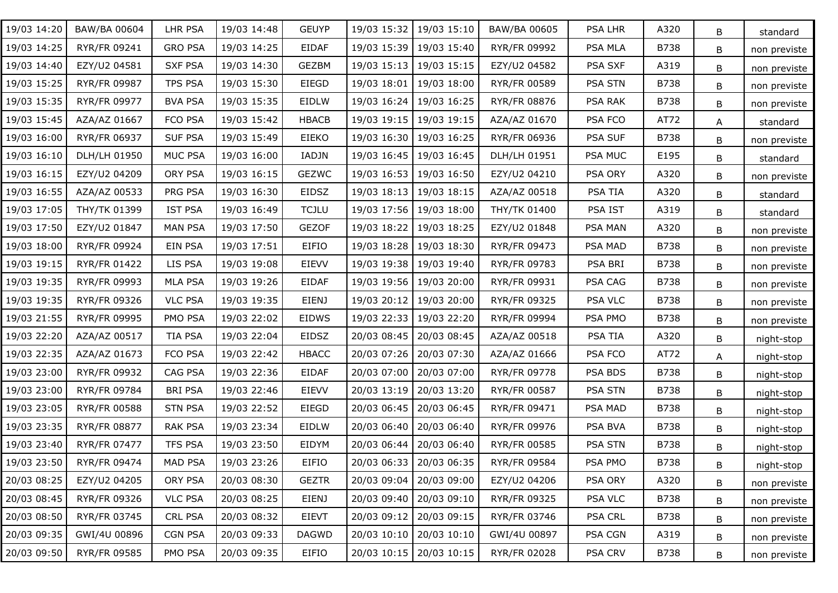| 19/03 14:20 | BAW/BA 00604        | LHR PSA        | 19/03 14:48 | <b>GEUYP</b> | 19/03 15:32 | 19/03 15:10               | BAW/BA 00605        | PSA LHR        | A320        | B | standard     |
|-------------|---------------------|----------------|-------------|--------------|-------------|---------------------------|---------------------|----------------|-------------|---|--------------|
| 19/03 14:25 | RYR/FR 09241        | <b>GRO PSA</b> | 19/03 14:25 | EIDAF        | 19/03 15:39 | 19/03 15:40               | RYR/FR 09992        | PSA MLA        | B738        | B | non previste |
| 19/03 14:40 | EZY/U2 04581        | <b>SXF PSA</b> | 19/03 14:30 | GEZBM        | 19/03 15:13 | 19/03 15:15               | EZY/U2 04582        | PSA SXF        | A319        | B | non previste |
| 19/03 15:25 | RYR/FR 09987        | <b>TPS PSA</b> | 19/03 15:30 | EIEGD        | 19/03 18:01 | 19/03 18:00               | <b>RYR/FR 00589</b> | <b>PSA STN</b> | B738        | B | non previste |
| 19/03 15:35 | RYR/FR 09977        | <b>BVA PSA</b> | 19/03 15:35 | EIDLW        | 19/03 16:24 | 19/03 16:25               | RYR/FR 08876        | PSA RAK        | B738        | B | non previste |
| 19/03 15:45 | AZA/AZ 01667        | FCO PSA        | 19/03 15:42 | <b>HBACB</b> | 19/03 19:15 | 19/03 19:15               | AZA/AZ 01670        | PSA FCO        | AT72        | A | standard     |
| 19/03 16:00 | RYR/FR 06937        | <b>SUF PSA</b> | 19/03 15:49 | EIEKO        | 19/03 16:30 | 19/03 16:25               | RYR/FR 06936        | PSA SUF        | B738        | B | non previste |
| 19/03 16:10 | DLH/LH 01950        | MUC PSA        | 19/03 16:00 | IADJN        | 19/03 16:45 | 19/03 16:45               | DLH/LH 01951        | <b>PSA MUC</b> | E195        | B | standard     |
| 19/03 16:15 | EZY/U2 04209        | ORY PSA        | 19/03 16:15 | <b>GEZWC</b> | 19/03 16:53 | 19/03 16:50               | EZY/U2 04210        | PSA ORY        | A320        | B | non previste |
| 19/03 16:55 | AZA/AZ 00533        | PRG PSA        | 19/03 16:30 | EIDSZ        |             | 19/03 18:13   19/03 18:15 | AZA/AZ 00518        | PSA TIA        | A320        | B | standard     |
| 19/03 17:05 | THY/TK 01399        | <b>IST PSA</b> | 19/03 16:49 | <b>TCJLU</b> |             | 19/03 17:56   19/03 18:00 | <b>THY/TK 01400</b> | PSA IST        | A319        | B | standard     |
| 19/03 17:50 | EZY/U2 01847        | <b>MAN PSA</b> | 19/03 17:50 | <b>GEZOF</b> | 19/03 18:22 | 19/03 18:25               | EZY/U2 01848        | PSA MAN        | A320        | B | non previste |
| 19/03 18:00 | RYR/FR 09924        | EIN PSA        | 19/03 17:51 | EIFIO        | 19/03 18:28 | 19/03 18:30               | RYR/FR 09473        | PSA MAD        | <b>B738</b> | B | non previste |
| 19/03 19:15 | RYR/FR 01422        | LIS PSA        | 19/03 19:08 | EIEVV        |             | 19/03 19:38   19/03 19:40 | RYR/FR 09783        | PSA BRI        | B738        | B | non previste |
| 19/03 19:35 | RYR/FR 09993        | <b>MLA PSA</b> | 19/03 19:26 | EIDAF        | 19/03 19:56 | 19/03 20:00               | RYR/FR 09931        | PSA CAG        | <b>B738</b> | B | non previste |
| 19/03 19:35 | RYR/FR 09326        | <b>VLC PSA</b> | 19/03 19:35 | <b>EIENJ</b> | 19/03 20:12 | 19/03 20:00               | RYR/FR 09325        | <b>PSA VLC</b> | B738        | B | non previste |
| 19/03 21:55 | RYR/FR 09995        | PMO PSA        | 19/03 22:02 | <b>EIDWS</b> | 19/03 22:33 | 19/03 22:20               | RYR/FR 09994        | PSA PMO        | <b>B738</b> | B | non previste |
| 19/03 22:20 | AZA/AZ 00517        | <b>TIA PSA</b> | 19/03 22:04 | EIDSZ        | 20/03 08:45 | 20/03 08:45               | AZA/AZ 00518        | PSA TIA        | A320        | B | night-stop   |
| 19/03 22:35 | AZA/AZ 01673        | FCO PSA        | 19/03 22:42 | <b>HBACC</b> | 20/03 07:26 | 20/03 07:30               | AZA/AZ 01666        | PSA FCO        | AT72        | A | night-stop   |
| 19/03 23:00 | RYR/FR 09932        | CAG PSA        | 19/03 22:36 | EIDAF        | 20/03 07:00 | 20/03 07:00               | RYR/FR 09778        | PSA BDS        | B738        | B | night-stop   |
| 19/03 23:00 | RYR/FR 09784        | <b>BRI PSA</b> | 19/03 22:46 | <b>EIEVV</b> | 20/03 13:19 | 20/03 13:20               | <b>RYR/FR 00587</b> | <b>PSA STN</b> | <b>B738</b> | B | night-stop   |
| 19/03 23:05 | <b>RYR/FR 00588</b> | <b>STN PSA</b> | 19/03 22:52 | EIEGD        | 20/03 06:45 | 20/03 06:45               | RYR/FR 09471        | PSA MAD        | B738        | B | night-stop   |
| 19/03 23:35 | <b>RYR/FR 08877</b> | <b>RAK PSA</b> | 19/03 23:34 | EIDLW        | 20/03 06:40 | 20/03 06:40               | RYR/FR 09976        | PSA BVA        | <b>B738</b> | B | night-stop   |
| 19/03 23:40 | RYR/FR 07477        | <b>TFS PSA</b> | 19/03 23:50 | EIDYM        | 20/03 06:44 | 20/03 06:40               | <b>RYR/FR 00585</b> | <b>PSA STN</b> | B738        | B | night-stop   |
| 19/03 23:50 | RYR/FR 09474        | MAD PSA        | 19/03 23:26 | <b>EIFIO</b> |             | 20/03 06:33   20/03 06:35 | RYR/FR 09584        | PSA PMO        | B738        | B | night-stop   |
| 20/03 08:25 | EZY/U2 04205        | ORY PSA        | 20/03 08:30 | <b>GEZTR</b> | 20/03 09:04 | 20/03 09:00               | EZY/U2 04206        | PSA ORY        | A320        | B | non previste |
| 20/03 08:45 | RYR/FR 09326        | <b>VLC PSA</b> | 20/03 08:25 | <b>EIENJ</b> | 20/03 09:40 | 20/03 09:10               | RYR/FR 09325        | <b>PSA VLC</b> | B738        | B | non previste |
| 20/03 08:50 | RYR/FR 03745        | <b>CRL PSA</b> | 20/03 08:32 | <b>EIEVT</b> | 20/03 09:12 | 20/03 09:15               | RYR/FR 03746        | <b>PSA CRL</b> | B738        | B | non previste |
| 20/03 09:35 | GWI/4U 00896        | <b>CGN PSA</b> | 20/03 09:33 | <b>DAGWD</b> | 20/03 10:10 | 20/03 10:10               | GWI/4U 00897        | PSA CGN        | A319        | B | non previste |
| 20/03 09:50 | RYR/FR 09585        | PMO PSA        | 20/03 09:35 | EIFIO        | 20/03 10:15 | 20/03 10:15               | RYR/FR 02028        | <b>PSA CRV</b> | B738        | B | non previste |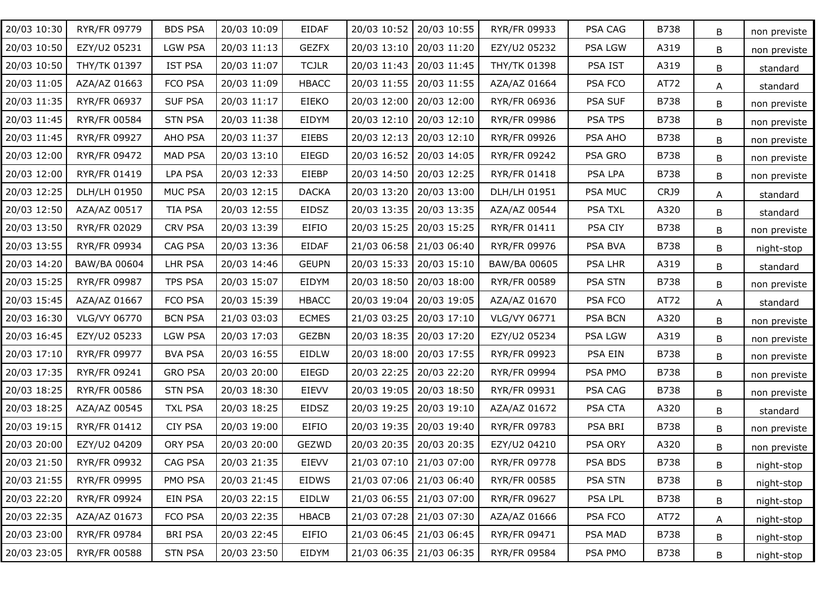| 20/03 10:30 | RYR/FR 09779 | <b>BDS PSA</b> | 20/03 10:09 | EIDAF        | 20/03 10:52 | 20/03 10:55               | RYR/FR 09933        | PSA CAG        | <b>B738</b> | B | non previste |
|-------------|--------------|----------------|-------------|--------------|-------------|---------------------------|---------------------|----------------|-------------|---|--------------|
| 20/03 10:50 | EZY/U2 05231 | <b>LGW PSA</b> | 20/03 11:13 | <b>GEZFX</b> | 20/03 13:10 | 20/03 11:20               | EZY/U2 05232        | PSA LGW        | A319        | В | non previste |
| 20/03 10:50 | THY/TK 01397 | <b>IST PSA</b> | 20/03 11:07 | <b>TCJLR</b> | 20/03 11:43 | 20/03 11:45               | THY/TK 01398        | PSA IST        | A319        | B | standard     |
| 20/03 11:05 | AZA/AZ 01663 | FCO PSA        | 20/03 11:09 | <b>HBACC</b> | 20/03 11:55 | 20/03 11:55               | AZA/AZ 01664        | PSA FCO        | AT72        | A | standard     |
| 20/03 11:35 | RYR/FR 06937 | <b>SUF PSA</b> | 20/03 11:17 | EIEKO        | 20/03 12:00 | 20/03 12:00               | RYR/FR 06936        | <b>PSA SUF</b> | <b>B738</b> | B | non previste |
| 20/03 11:45 | RYR/FR 00584 | <b>STN PSA</b> | 20/03 11:38 | EIDYM        | 20/03 12:10 | 20/03 12:10               | RYR/FR 09986        | PSA TPS        | <b>B738</b> | В | non previste |
| 20/03 11:45 | RYR/FR 09927 | AHO PSA        | 20/03 11:37 | <b>EIEBS</b> |             | 20/03 12:13   20/03 12:10 | RYR/FR 09926        | PSA AHO        | <b>B738</b> | В | non previste |
| 20/03 12:00 | RYR/FR 09472 | <b>MAD PSA</b> | 20/03 13:10 | EIEGD        | 20/03 16:52 | 20/03 14:05               | RYR/FR 09242        | PSA GRO        | <b>B738</b> | B | non previste |
| 20/03 12:00 | RYR/FR 01419 | <b>LPA PSA</b> | 20/03 12:33 | EIEBP        |             | 20/03 14:50   20/03 12:25 | RYR/FR 01418        | PSA LPA        | <b>B738</b> | B | non previste |
| 20/03 12:25 | DLH/LH 01950 | MUC PSA        | 20/03 12:15 | <b>DACKA</b> |             | 20/03 13:20   20/03 13:00 | DLH/LH 01951        | PSA MUC        | CRJ9        | A | standard     |
| 20/03 12:50 | AZA/AZ 00517 | <b>TIA PSA</b> | 20/03 12:55 | EIDSZ        |             | 20/03 13:35   20/03 13:35 | AZA/AZ 00544        | <b>PSA TXL</b> | A320        | В | standard     |
| 20/03 13:50 | RYR/FR 02029 | <b>CRV PSA</b> | 20/03 13:39 | EIFIO        |             | 20/03 15:25   20/03 15:25 | RYR/FR 01411        | PSA CIY        | <b>B738</b> | В | non previste |
| 20/03 13:55 | RYR/FR 09934 | CAG PSA        | 20/03 13:36 | <b>EIDAF</b> |             | 21/03 06:58 21/03 06:40   | RYR/FR 09976        | PSA BVA        | <b>B738</b> | В | night-stop   |
| 20/03 14:20 | BAW/BA 00604 | LHR PSA        | 20/03 14:46 | <b>GEUPN</b> |             | 20/03 15:33   20/03 15:10 | BAW/BA 00605        | <b>PSA LHR</b> | A319        | B | standard     |
| 20/03 15:25 | RYR/FR 09987 | TPS PSA        | 20/03 15:07 | EIDYM        | 20/03 18:50 | 20/03 18:00               | RYR/FR 00589        | PSA STN        | <b>B738</b> | B | non previste |
| 20/03 15:45 | AZA/AZ 01667 | FCO PSA        | 20/03 15:39 | <b>HBACC</b> |             | 20/03 19:04   20/03 19:05 | AZA/AZ 01670        | PSA FCO        | AT72        | A | standard     |
| 20/03 16:30 | VLG/VY 06770 | <b>BCN PSA</b> | 21/03 03:03 | <b>ECMES</b> | 21/03 03:25 | 20/03 17:10               | VLG/VY 06771        | <b>PSA BCN</b> | A320        | B | non previste |
| 20/03 16:45 | EZY/U2 05233 | <b>LGW PSA</b> | 20/03 17:03 | <b>GEZBN</b> |             | 20/03 18:35   20/03 17:20 | EZY/U2 05234        | PSA LGW        | A319        | B | non previste |
| 20/03 17:10 | RYR/FR 09977 | <b>BVA PSA</b> | 20/03 16:55 | EIDLW        | 20/03 18:00 | 20/03 17:55               | RYR/FR 09923        | PSA EIN        | <b>B738</b> | B | non previste |
| 20/03 17:35 | RYR/FR 09241 | <b>GRO PSA</b> | 20/03 20:00 | EIEGD        | 20/03 22:25 | 20/03 22:20               | RYR/FR 09994        | PSA PMO        | <b>B738</b> | B | non previste |
| 20/03 18:25 | RYR/FR 00586 | <b>STN PSA</b> | 20/03 18:30 | <b>EIEVV</b> | 20/03 19:05 | 20/03 18:50               | RYR/FR 09931        | PSA CAG        | <b>B738</b> | B | non previste |
| 20/03 18:25 | AZA/AZ 00545 | <b>TXL PSA</b> | 20/03 18:25 | EIDSZ        | 20/03 19:25 | 20/03 19:10               | AZA/AZ 01672        | PSA CTA        | A320        | B | standard     |
| 20/03 19:15 | RYR/FR 01412 | <b>CIY PSA</b> | 20/03 19:00 | EIFIO        |             | 20/03 19:35   20/03 19:40 | RYR/FR 09783        | PSA BRI        | <b>B738</b> | B | non previste |
| 20/03 20:00 | EZY/U2 04209 | ORY PSA        | 20/03 20:00 | GEZWD        |             | 20/03 20:35   20/03 20:35 | EZY/U2 04210        | PSA ORY        | A320        | B | non previste |
| 20/03 21:50 | RYR/FR 09932 | CAG PSA        | 20/03 21:35 | EIEVV        |             | 21/03 07:10 21/03 07:00   | <b>RYR/FR 09778</b> | PSA BDS        | <b>B738</b> | B | night-stop   |
| 20/03 21:55 | RYR/FR 09995 | PMO PSA        | 20/03 21:45 | <b>EIDWS</b> |             | 21/03 07:06   21/03 06:40 | RYR/FR 00585        | PSA STN        | <b>B738</b> | B | night-stop   |
| 20/03 22:20 | RYR/FR 09924 | EIN PSA        | 20/03 22:15 | EIDLW        |             | 21/03 06:55 21/03 07:00   | RYR/FR 09627        | PSA LPL        | <b>B738</b> | B | night-stop   |
| 20/03 22:35 | AZA/AZ 01673 | FCO PSA        | 20/03 22:35 | <b>HBACB</b> |             | 21/03 07:28 21/03 07:30   | AZA/AZ 01666        | PSA FCO        | AT72        | Α | night-stop   |
| 20/03 23:00 | RYR/FR 09784 | <b>BRI PSA</b> | 20/03 22:45 | EIFIO        |             | 21/03 06:45   21/03 06:45 | RYR/FR 09471        | PSA MAD        | <b>B738</b> | B | night-stop   |
| 20/03 23:05 | RYR/FR 00588 | <b>STN PSA</b> | 20/03 23:50 | EIDYM        |             | 21/03 06:35 21/03 06:35   | RYR/FR 09584        | PSA PMO        | <b>B738</b> | B | night-stop   |